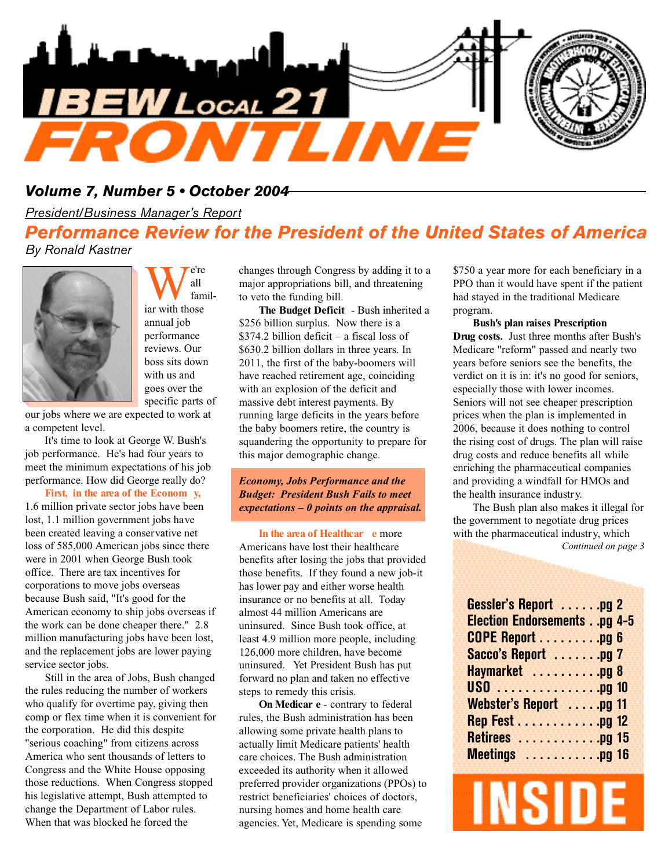

#### *Volume 7, Number 5 • October 2004*

*President/Business Manager's Report*

#### *Performance Review for the President of the United States of America By Ronald Kastner*



We're all fan all familannual job performance reviews. Our boss sits down with us and goes over the specific parts of

'e're

our jobs where we are expected to work at a competent level.

It's time to look at George W. Bush's job performance. He's had four years to meet the minimum expectations of his job performance. How did George really do?

**First, in the area of the Econom y,** 1.6 million private sector jobs have been lost, 1.1 million government jobs have been created leaving a conservative net loss of 585,000 American jobs since there were in 2001 when George Bush took office. There are tax incentives for corporations to move jobs overseas because Bush said, "It's good for the American economy to ship jobs overseas if the work can be done cheaper there." 2.8 million manufacturing jobs have been lost, and the replacement jobs are lower paying service sector jobs.

Still in the area of Jobs, Bush changed the rules reducing the number of workers who qualify for overtime pay, giving then comp or flex time when it is convenient for the corporation. He did this despite "serious coaching" from citizens across America who sent thousands of letters to Congress and the White House opposing those reductions. When Congress stopped his legislative attempt, Bush attempted to change the Department of Labor rules. When that was blocked he forced the

changes through Congress by adding it to a major appropriations bill, and threatening to veto the funding bill.

**The Budget Deficit** - Bush inherited a \$256 billion surplus. Now there is a \$374.2 billion deficit – a fiscal loss of \$630.2 billion dollars in three years. In 2011, the first of the baby-boomers will have reached retirement age, coinciding with an explosion of the deficit and massive debt interest payments. By running large deficits in the years before the baby boomers retire, the country is squandering the opportunity to prepare for this major demographic change.

*Economy, Jobs Performance and the Budget: President Bush Fails to meet expectations – 0 points on the appraisal.*

**In the area of Healthcar e** more Americans have lost their healthcare benefits after losing the jobs that provided those benefits. If they found a new job-it has lower pay and either worse health insurance or no benefits at all. Today almost 44 million Americans are uninsured. Since Bush took office, at least 4.9 million more people, including 126,000 more children, have become uninsured. Yet President Bush has put forward no plan and taken no effective steps to remedy this crisis.

**On Medicar e** - contrary to federal rules, the Bush administration has been allowing some private health plans to actually limit Medicare patients' health care choices. The Bush administration exceeded its authority when it allowed preferred provider organizations (PPOs) to restrict beneficiaries' choices of doctors, nursing homes and home health care agencies. Yet, Medicare is spending some

\$750 a year more for each beneficiary in a PPO than it would have spent if the patient had stayed in the traditional Medicare program.

**Bush's plan raises Prescription Drug costs.** Just three months after Bush's Medicare "reform" passed and nearly two years before seniors see the benefits, the verdict on it is in: it's no good for seniors, especially those with lower incomes. Seniors will not see cheaper prescription prices when the plan is implemented in 2006, because it does nothing to control the rising cost of drugs. The plan will raise drug costs and reduce benefits all while enriching the pharmaceutical companies and providing a windfall for HMOs and the health insurance industry.

The Bush plan also makes it illegal for the government to negotiate drug prices with the pharmaceutical industry, which

*Continued on page 3*

| <b>Gessler's Report pg 2</b>       |  |
|------------------------------------|--|
| <b>Election Endorsementspg 4-5</b> |  |
| <b>COPE Report</b> pg 6            |  |
| Sacco's Report pg 7                |  |
| Haymarket pg 8                     |  |
| USO pg 10                          |  |
| Webster's Report pg 11             |  |
| <b>Rep Fest pg 12</b>              |  |
| <b>Retirees pg 15</b>              |  |
| <b>Meetings</b> pg 16              |  |

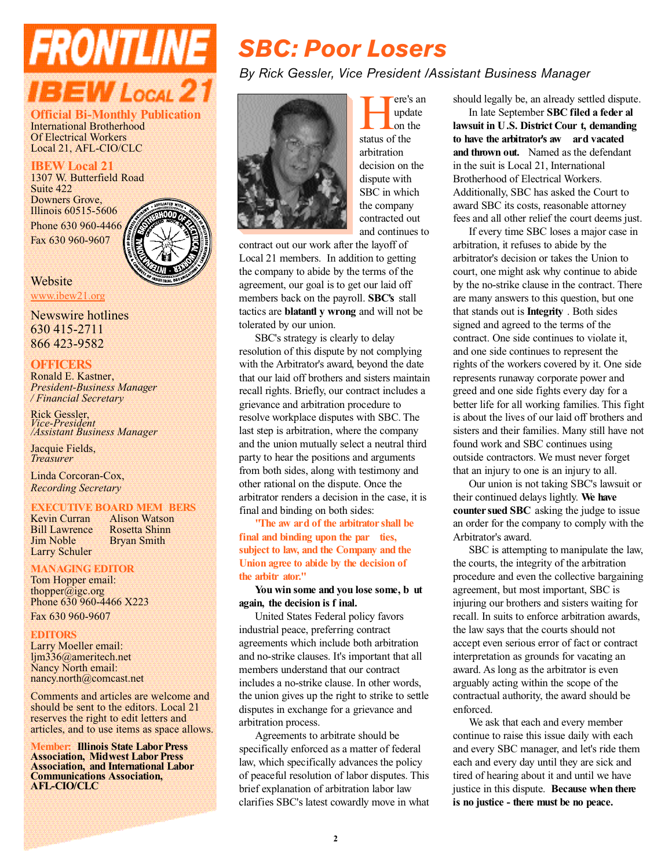# **FRONTLINE** IBEW Local  $21\,$

**Official Bi-Monthly Publication** International Brotherhood Of Electrical Workers Local 21, AFL-CIO/CLC

**IBEW Local 21**

1307 W. Butterfield Road Suite 422 Downers Grove, Illinois 60515-5606 Phone 630 960-4466 Fax 630 960-9607



**Website** 

www.ibew21.org

Newswire hotlines 630 415-2711 866 423-9582

#### **OFFICERS**

Ronald E. Kastner, *President-Business Manager / Financial Secretary*

Rick Gessler, *Vice-President /Assistant Business Manager*

Jacquie Fields. *Treasurer*

Linda Corcoran-Cox, *Recording Secretary*

### **EXECUTIVE BOARD MEM BERS**

Bill Lawrence<br>Jim Noble Larry Schuler

Alison Watson<br>Rosetta Shinn **Bryan Smith** 

#### **MANAGING EDITOR**

Tom Hopper email: thopper@igc.org Phone 630 960-4466 X223 Fax 630 960-9607

#### **EDITORS**

Larry Moeller email: ljm336@ameritech.net Nancy North email: nancy.north@comcast.net

Comments and articles are welcome and should be sent to the editors. Local 21 reserves the right to edit letters and articles, and to use items as space allows.

**Member: Illinois State Labor Press Association, Midwest Labor Press Association, and International Labor Communications Association, AFL-CIO/CLC**

# *SBC: Poor Losers*

*By Rick Gessler, Vice President /Assistant Business Manager*



**H** and the status of the ere's an update on the arbitration decision on the dispute with SBC in which the company contracted out and continues to

contract out our work after the layoff of Local 21 members. In addition to getting the company to abide by the terms of the agreement, our goal is to get our laid off members back on the payroll. **SBC's** stall tactics are **blatantl v** wrong and will not be tolerated by our union.

SBC's strategy is clearly to delay resolution of this dispute by not complying with the Arbitrator's award, beyond the date that our laid off brothers and sisters maintain recall rights. Briefly, our contract includes a grievance and arbitration procedure to resolve workplace disputes with SBC. The last step is arbitration, where the company and the union mutually select a neutral third party to hear the positions and arguments from both sides, along with testimony and other rational on the dispute. Once the arbitrator renders a decision in the case, it is final and binding on both sides:

**'The aw ard of the arbitrator shall be** final and binding upon the par ties, **subject to law, and the Company and the Union agree to abide by the decision of the arbitr ator.**"

You win some and you lose some, **b** ut again, the decision is f inal.

United States Federal policy favors industrial peace, preferring contract agreements which include both arbitration and no-strike clauses. It's important that all members understand that our contract includes a no-strike clause. In other words, the union gives up the right to strike to settle disputes in exchange for a grievance and arbitration process.

Agreements to arbitrate should be specifically enforced as a matter of federal law, which specifically advances the policy of peaceful resolution of labor disputes. This brief explanation of arbitration labor law clarifies SBC's latest cowardly move in what should legally be, an already settled dispute.

In late September **SBC** filed a feder al **lawsuit in U.S. District Cour t, demanding to have the arbitrator's aw ard vacated and thrown out.** Named as the defendant in the suit is Local 21, International Brotherhood of Electrical Workers. Additionally, SBC has asked the Court to award SBC its costs, reasonable attorney fees and all other relief the court deems just.

If every time SBC loses a major case in arbitration, it refuses to abide by the arbitrator's decision or takes the Union to court, one might ask why continue to abide by the no-strike clause in the contract. There are many answers to this question, but one that stands out is **Integrity** . Both sides signed and agreed to the terms of the contract. One side continues to violate it, and one side continues to represent the rights of the workers covered by it. One side represents runaway corporate power and greed and one side fights every day for a better life for all working families. This fight is about the lives of our laid off brothers and sisters and their families. Many still have not found work and SBC continues using outside contractors. We must never forget that an injury to one is an injury to all.

Our union is not taking SBC's lawsuit or their continued delays lightly. **We have counter sued SBC** asking the judge to issue an order for the company to comply with the Arbitrator's award.

SBC is attempting to manipulate the law, the courts, the integrity of the arbitration procedure and even the collective bargaining agreement, but most important, SBC is injuring our brothers and sisters waiting for recall. In suits to enforce arbitration awards, the law says that the courts should not accept even serious error of fact or contract interpretation as grounds for vacating an award. As long as the arbitrator is even arguably acting within the scope of the contractual authority, the award should be enforced.

We ask that each and every member continue to raise this issue daily with each and every SBC manager, and let's ride them each and every day until they are sick and tired of hearing about it and until we have justice in this dispute. **Because when there is no justice - there must be no peace.**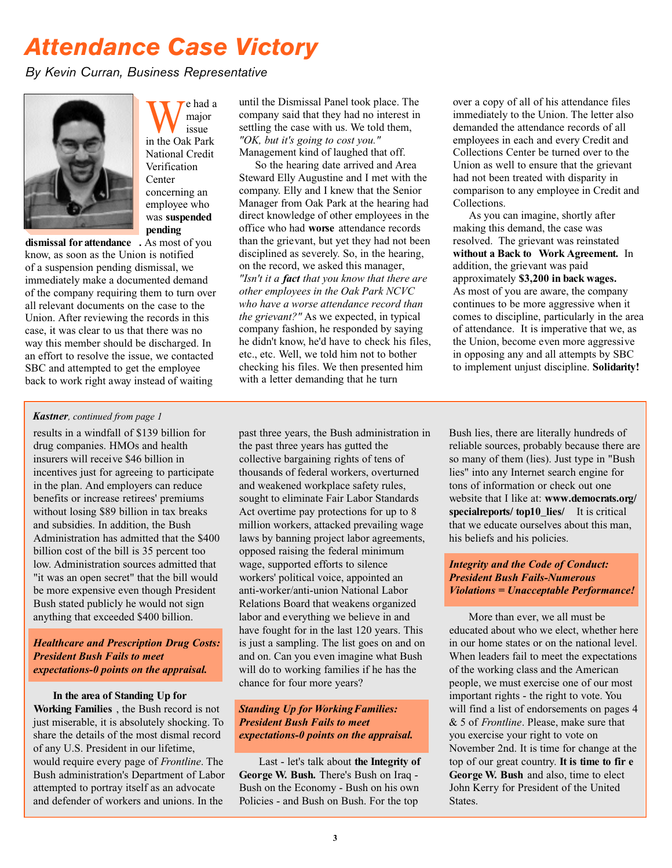# *Attendance Case Victory*

*By Kevin Curran, Business Representative*



We had a<br>in the Oak Park e had a maior issue National Credit Verification Center concerning an employee who was **suspended pending**

**dismissal for attendance .** As most of you know, as soon as the Union is notified of a suspension pending dismissal, we immediately make a documented demand of the company requiring them to turn over all relevant documents on the case to the Union. After reviewing the records in this case, it was clear to us that there was no way this member should be discharged. In an effort to resolve the issue, we contacted SBC and attempted to get the employee back to work right away instead of waiting

until the Dismissal Panel took place. The company said that they had no interest in settling the case with us. We told them, *"OK, but it's going to cost you."* Management kind of laughed that off.

So the hearing date arrived and Area Steward Elly Augustine and I met with the company. Elly and I knew that the Senior Manager from Oak Park at the hearing had direct knowledge of other employees in the office who had **worse** attendance records than the grievant, but yet they had not been disciplined as severely. So, in the hearing, on the record, we asked this manager, *"Isn't it a fact that you know that there are other employees in the Oak Park NCVC who have a worse attendance record than the grievant?"* As we expected, in typical company fashion, he responded by saying he didn't know, he'd have to check his files, etc., etc. Well, we told him not to bother checking his files. We then presented him with a letter demanding that he turn

over a copy of all of his attendance files immediately to the Union. The letter also demanded the attendance records of all employees in each and every Credit and Collections Center be turned over to the Union as well to ensure that the grievant had not been treated with disparity in comparison to any employee in Credit and Collections.

As you can imagine, shortly after making this demand, the case was resolved. The grievant was reinstated **without a Back to Work Agreement.** In addition, the grievant was paid approximately **\$3,200 in back wages.** As most of you are aware, the company continues to be more aggressive when it comes to discipline, particularly in the area of attendance. It is imperative that we, as the Union, become even more aggressive in opposing any and all attempts by SBC to implement unjust discipline. **Solidarity!**

#### *Kastner, continued from page 1*

results in a windfall of \$139 billion for drug companies. HMOs and health insurers will receive \$46 billion in incentives just for agreeing to participate in the plan. And employers can reduce benefits or increase retirees' premiums without losing \$89 billion in tax breaks and subsidies. In addition, the Bush Administration has admitted that the \$400 billion cost of the bill is 35 percent too low. Administration sources admitted that "it was an open secret" that the bill would be more expensive even though President Bush stated publicly he would not sign anything that exceeded \$400 billion.

#### *Healthcare and Prescription Drug Costs: President Bush Fails to meet expectations-0 points on the appraisal.*

#### **In the area of Standing Up for Working Families** , the Bush record is not just miserable, it is absolutely shocking. To share the details of the most dismal record of any U.S. President in our lifetime, would require every page of *Frontline*. The Bush administration's Department of Labor attempted to portray itself as an advocate and defender of workers and unions. In the

past three years, the Bush administration in the past three years has gutted the collective bargaining rights of tens of thousands of federal workers, overturned and weakened workplace safety rules, sought to eliminate Fair Labor Standards Act overtime pay protections for up to 8 million workers, attacked prevailing wage laws by banning project labor agreements, opposed raising the federal minimum wage, supported efforts to silence workers' political voice, appointed an anti-worker/anti-union National Labor Relations Board that weakens organized labor and everything we believe in and have fought for in the last 120 years. This is just a sampling. The list goes on and on and on. Can you even imagine what Bush will do to working families if he has the chance for four more years?

#### *Standing Up for Working Families: President Bush Fails to meet expectations-0 points on the appraisal.*

Last - let's talk about **the Integrity of** George W. Bush. There's Bush on Iraq -Bush on the Economy - Bush on his own Policies - and Bush on Bush. For the top

Bush lies, there are literally hundreds of reliable sources, probably because there are so many of them (lies). Just type in "Bush lies" into any Internet search engine for tons of information or check out one website that I like at: **www.democrats.org/ specialreports/ top10 lies/** It is critical that we educate ourselves about this man, his beliefs and his policies.

#### *Integrity and the Code of Conduct: President Bush Fails-Numerous Violations = Unacceptable Performance!*

More than ever, we all must be educated about who we elect, whether here in our home states or on the national level. When leaders fail to meet the expectations of the working class and the American people, we must exercise one of our most important rights - the right to vote. You will find a list of endorsements on pages 4 & 5 of *Frontline*. Please, make sure that you exercise your right to vote on November 2nd. It is time for change at the top of our great country. **It is time to fir e** George W. Bush and also, time to elect John Kerry for President of the United States.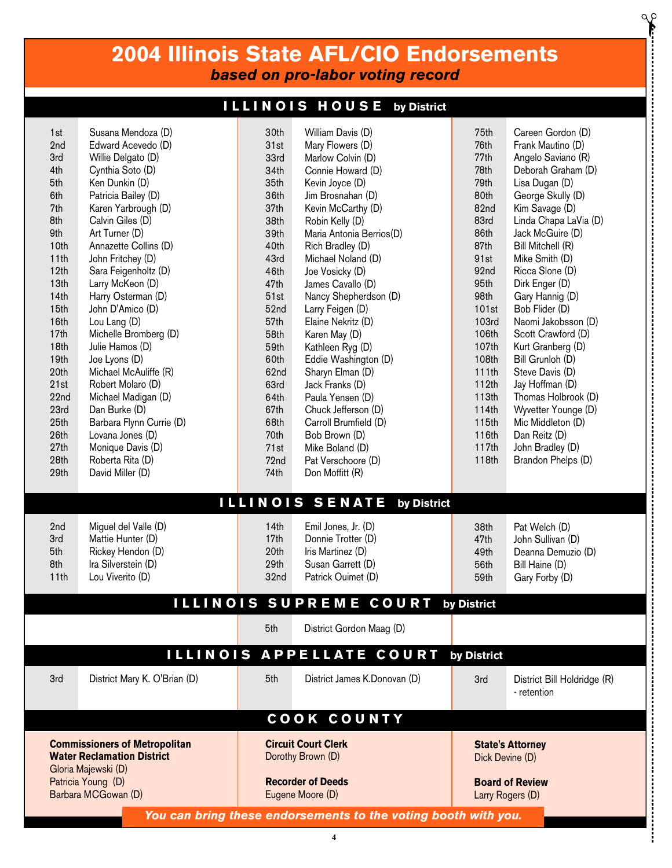### **2004 Illinois State AFL/CIO Endorsements** *based on pro-labor voting record*

 $90$ 

### **I L L I N O I S H O U S E by District**

| 1st<br>2nd<br>3rd<br>4th<br>5th<br>6th<br>7th<br>8th<br>9th<br>10th<br>11th<br>12 <sub>th</sub><br>13th<br>14th<br>15 <sub>th</sub><br>16th<br>17 <sub>th</sub><br>18th<br>19th<br>20th<br>21st<br>22nd<br>23rd<br>25 <sub>th</sub><br>26th<br>27th<br>28th<br>29th                                                                                                                                            | Susana Mendoza (D)<br>Edward Acevedo (D)<br>Willie Delgato (D)<br>Cynthia Soto (D)<br>Ken Dunkin (D)<br>Patricia Bailey (D)<br>Karen Yarbrough (D)<br>Calvin Giles (D)<br>Art Turner (D)<br>Annazette Collins (D)<br>John Fritchey (D)<br>Sara Feigenholtz (D)<br>Larry McKeon (D)<br>Harry Osterman (D)<br>John D'Amico (D)<br>Lou Lang (D)<br>Michelle Bromberg (D)<br>Julie Hamos (D)<br>Joe Lyons (D)<br>Michael McAuliffe (R)<br>Robert Molaro (D)<br>Michael Madigan (D)<br>Dan Burke (D)<br>Barbara Flynn Currie (D)<br>Lovana Jones (D)<br>Monique Davis (D)<br>Roberta Rita (D)<br>David Miller (D) | 30th<br>31st<br>33rd<br>34th<br>35th<br>36th<br>37th<br>38th<br>39th<br>40th<br>43rd<br>46th<br>47th<br>51st<br>52nd<br>57th<br>58th<br>59th<br>60th<br>62nd<br>63rd<br>64th<br>67th<br>68th<br>70th<br>71st<br>72nd<br>74th | William Davis (D)<br>Mary Flowers (D)<br>Marlow Colvin (D)<br>Connie Howard (D)<br>Kevin Joyce (D)<br>Jim Brosnahan (D)<br>Kevin McCarthy (D)<br>Robin Kelly (D)<br>Maria Antonia Berrios(D)<br>Rich Bradley (D)<br>Michael Noland (D)<br>Joe Vosicky (D)<br>James Cavallo (D)<br>Nancy Shepherdson (D)<br>Larry Feigen (D)<br>Elaine Nekritz (D)<br>Karen May (D)<br>Kathleen Ryg (D)<br>Eddie Washington (D)<br>Sharyn Elman (D)<br>Jack Franks (D)<br>Paula Yensen (D)<br>Chuck Jefferson (D)<br>Carroll Brumfield (D)<br>Bob Brown (D)<br>Mike Boland (D)<br>Pat Verschoore (D)<br>Don Moffitt (R) | 75th<br>76th<br>77th<br>78th<br>79th<br>80th<br>82nd<br>83rd<br>86th<br>87th<br>91st<br>92nd<br>95th<br>98th<br>101st<br>103rd<br>106th<br>107th<br>108th<br>111th<br>112th<br>113th<br>114th<br>115th<br>116th<br>117th<br>118th | Careen Gordon (D)<br>Frank Mautino (D)<br>Angelo Saviano (R)<br>Deborah Graham (D)<br>Lisa Dugan (D)<br>George Skully (D)<br>Kim Savage (D)<br>Linda Chapa LaVia (D)<br>Jack McGuire (D)<br>Bill Mitchell (R)<br>Mike Smith (D)<br>Ricca Slone (D)<br>Dirk Enger (D)<br>Gary Hannig (D)<br>Bob Flider (D)<br>Naomi Jakobsson (D)<br>Scott Crawford (D)<br>Kurt Granberg (D)<br>Bill Grunloh (D)<br>Steve Davis (D)<br>Jay Hoffman (D)<br>Thomas Holbrook (D)<br>Wyvetter Younge (D)<br>Mic Middleton (D)<br>Dan Reitz (D)<br>John Bradley (D)<br>Brandon Phelps (D) |  |
|----------------------------------------------------------------------------------------------------------------------------------------------------------------------------------------------------------------------------------------------------------------------------------------------------------------------------------------------------------------------------------------------------------------|--------------------------------------------------------------------------------------------------------------------------------------------------------------------------------------------------------------------------------------------------------------------------------------------------------------------------------------------------------------------------------------------------------------------------------------------------------------------------------------------------------------------------------------------------------------------------------------------------------------|------------------------------------------------------------------------------------------------------------------------------------------------------------------------------------------------------------------------------|--------------------------------------------------------------------------------------------------------------------------------------------------------------------------------------------------------------------------------------------------------------------------------------------------------------------------------------------------------------------------------------------------------------------------------------------------------------------------------------------------------------------------------------------------------------------------------------------------------|-----------------------------------------------------------------------------------------------------------------------------------------------------------------------------------------------------------------------------------|---------------------------------------------------------------------------------------------------------------------------------------------------------------------------------------------------------------------------------------------------------------------------------------------------------------------------------------------------------------------------------------------------------------------------------------------------------------------------------------------------------------------------------------------------------------------|--|
|                                                                                                                                                                                                                                                                                                                                                                                                                |                                                                                                                                                                                                                                                                                                                                                                                                                                                                                                                                                                                                              |                                                                                                                                                                                                                              |                                                                                                                                                                                                                                                                                                                                                                                                                                                                                                                                                                                                        |                                                                                                                                                                                                                                   |                                                                                                                                                                                                                                                                                                                                                                                                                                                                                                                                                                     |  |
| 2nd<br>3rd<br>5th<br>8th<br>11th                                                                                                                                                                                                                                                                                                                                                                               | Miguel del Valle (D)<br>Mattie Hunter (D)<br>Rickey Hendon (D)<br>Ira Silverstein (D)<br>Lou Viverito (D)                                                                                                                                                                                                                                                                                                                                                                                                                                                                                                    | 14 <sub>th</sub><br>17th<br>20th<br>29th<br>32nd                                                                                                                                                                             | <b>ILLINOIS SENATE</b><br>by District<br>Emil Jones, Jr. (D)<br>Donnie Trotter (D)<br>Iris Martinez (D)<br>Susan Garrett (D)<br>Patrick Ouimet (D)                                                                                                                                                                                                                                                                                                                                                                                                                                                     | 38th<br>47th<br>49th<br>56th<br>59th                                                                                                                                                                                              | Pat Welch (D)<br>John Sullivan (D)<br>Deanna Demuzio (D)<br>Bill Haine (D)<br>Gary Forby (D)                                                                                                                                                                                                                                                                                                                                                                                                                                                                        |  |
| <b>ILLINOIS SUPREME COURT</b><br>by District                                                                                                                                                                                                                                                                                                                                                                   |                                                                                                                                                                                                                                                                                                                                                                                                                                                                                                                                                                                                              |                                                                                                                                                                                                                              |                                                                                                                                                                                                                                                                                                                                                                                                                                                                                                                                                                                                        |                                                                                                                                                                                                                                   |                                                                                                                                                                                                                                                                                                                                                                                                                                                                                                                                                                     |  |
|                                                                                                                                                                                                                                                                                                                                                                                                                |                                                                                                                                                                                                                                                                                                                                                                                                                                                                                                                                                                                                              | 5th                                                                                                                                                                                                                          | District Gordon Maag (D)                                                                                                                                                                                                                                                                                                                                                                                                                                                                                                                                                                               |                                                                                                                                                                                                                                   |                                                                                                                                                                                                                                                                                                                                                                                                                                                                                                                                                                     |  |
| ILLINOIS APPELLATE COURT<br>by District                                                                                                                                                                                                                                                                                                                                                                        |                                                                                                                                                                                                                                                                                                                                                                                                                                                                                                                                                                                                              |                                                                                                                                                                                                                              |                                                                                                                                                                                                                                                                                                                                                                                                                                                                                                                                                                                                        |                                                                                                                                                                                                                                   |                                                                                                                                                                                                                                                                                                                                                                                                                                                                                                                                                                     |  |
| 3rd                                                                                                                                                                                                                                                                                                                                                                                                            | District Mary K. O'Brian (D)                                                                                                                                                                                                                                                                                                                                                                                                                                                                                                                                                                                 | 5th                                                                                                                                                                                                                          | District James K.Donovan (D)                                                                                                                                                                                                                                                                                                                                                                                                                                                                                                                                                                           | 3rd                                                                                                                                                                                                                               | District Bill Holdridge (R)<br>- retention                                                                                                                                                                                                                                                                                                                                                                                                                                                                                                                          |  |
| COOK COUNTY                                                                                                                                                                                                                                                                                                                                                                                                    |                                                                                                                                                                                                                                                                                                                                                                                                                                                                                                                                                                                                              |                                                                                                                                                                                                                              |                                                                                                                                                                                                                                                                                                                                                                                                                                                                                                                                                                                                        |                                                                                                                                                                                                                                   |                                                                                                                                                                                                                                                                                                                                                                                                                                                                                                                                                                     |  |
| <b>Circuit Court Clerk</b><br><b>Commissioners of Metropolitan</b><br><b>State's Attorney</b><br><b>Water Reclamation District</b><br>Dorothy Brown (D)<br>Dick Devine (D)<br>Gloria Majewski (D)<br><b>Recorder of Deeds</b><br>Patricia Young (D)<br><b>Board of Review</b><br>Barbara MCGowan (D)<br>Eugene Moore (D)<br>Larry Rogers (D)<br>You can bring these endorsements to the voting booth with you. |                                                                                                                                                                                                                                                                                                                                                                                                                                                                                                                                                                                                              |                                                                                                                                                                                                                              |                                                                                                                                                                                                                                                                                                                                                                                                                                                                                                                                                                                                        |                                                                                                                                                                                                                                   |                                                                                                                                                                                                                                                                                                                                                                                                                                                                                                                                                                     |  |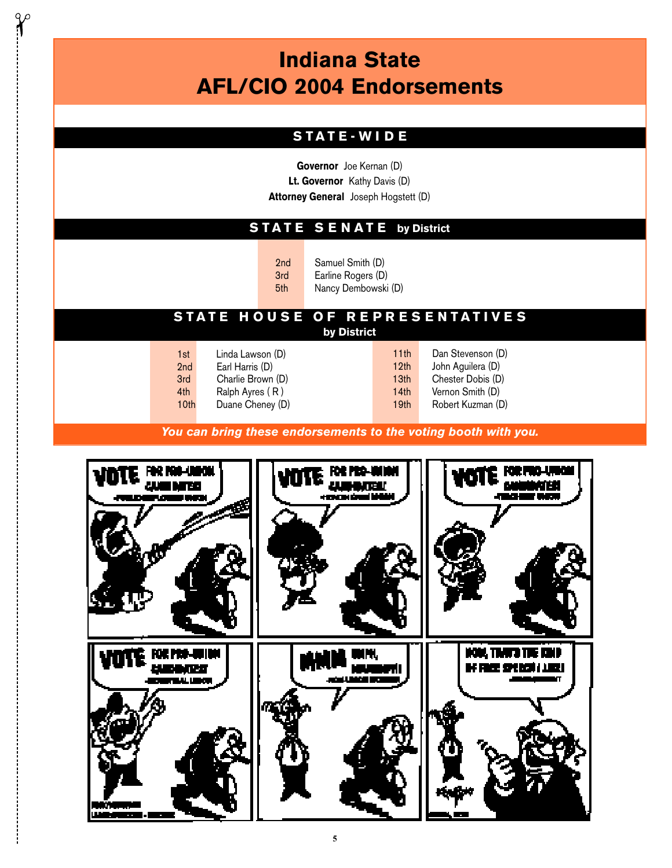# **Indiana State AFL/CIO 2004 Endorsements**

#### **S T A T E - W I D E**

**Governor** Joe Kernan (D) **Lt. Governor** Kathy Davis (D) **Attorney General** Joseph Hogstett (D)

#### **S T A T E S E N A T E by District**

2nd Samuel Smith (D) 3rd Earline Rogers (D) 5th Nancy Dembowski (D)

#### **S T A T E H O U S E O F R E P R E S E N T A T I V E S by District**

| 1st             | Linda Lawson (D)  |
|-----------------|-------------------|
| 2 <sub>nd</sub> | Earl Harris (D)   |
| 3rd             | Charlie Brown (D) |
| 4th             | Ralph Ayres (R)   |
| 10th            | Duane Cheney (D)  |
|                 |                   |

 $Q \rho$ 

11th Dan Stevenson (D) 12th John Aguilera (D) 13th Chester Dobis (D) 14th Vernon Smith (D) 19th Robert Kuzman (D)

*You can bring these endorsements to the voting booth with you.*

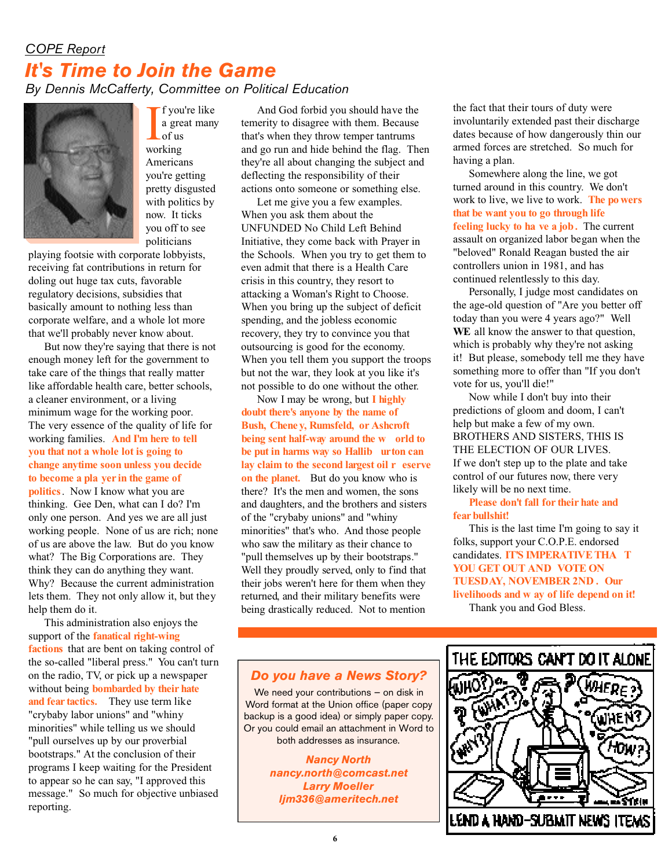### *COPE Report It's Time to Join the Game By Dennis McCafferty, Committee on Political Education*



If you<br>
a gree<br>
of us<br>
working f you're like a great many of us Americans you're getting pretty disgusted with politics by now. It ticks you off to see politicians

playing footsie with corporate lobbyists, receiving fat contributions in return for doling out huge tax cuts, favorable regulatory decisions, subsidies that basically amount to nothing less than corporate welfare, and a whole lot more that we'll probably never know about.

But now they're saying that there is not enough money left for the government to take care of the things that really matter like affordable health care, better schools, a cleaner environment, or a living minimum wage for the working poor. The very essence of the quality of life for working families. **And I'm here to tell you that not a whole lot is going to change anytime soon unless you decide to become a pla yer in the game of politics**. Now I know what you are thinking. Gee Den, what can I do? I'm only one person. And yes we are all just working people. None of us are rich; none of us are above the law. But do you know what? The Big Corporations are. They think they can do anything they want. Why? Because the current administration lets them. They not only allow it, but they help them do it.

This administration also enjoys the support of the **fanatical right-wing factions** that are bent on taking control of the so-called "liberal press." You can't turn on the radio, TV, or pick up a newspaper without being **bombarded by their hate and fear tactics.** They use term like "crybaby labor unions" and "whiny minorities" while telling us we should "pull ourselves up by our proverbial bootstraps." At the conclusion of their programs I keep waiting for the President to appear so he can say, "I approved this message." So much for objective unbiased reporting.

And God forbid you should have the temerity to disagree with them. Because that's when they throw temper tantrums and go run and hide behind the flag. Then they're all about changing the subject and deflecting the responsibility of their actions onto someone or something else.

Let me give you a few examples. When you ask them about the UNFUNDED No Child Left Behind Initiative, they come back with Prayer in the Schools. When you try to get them to even admit that there is a Health Care crisis in this country, they resort to attacking a Woman's Right to Choose. When you bring up the subject of deficit spending, and the jobless economic recovery, they try to convince you that outsourcing is good for the economy. When you tell them you support the troops but not the war, they look at you like it's not possible to do one without the other.

Now I may be wrong, but **I highly doubt there's anyone by the name of Bush, Chene v, Rumsfeld, or Ashcroft being sent half-way around the w** orld to **be put in harms way so Hallib ur ton can** lay claim to the second largest oil r eserve **on the planet.** But do you know who is there? It's the men and women, the sons and daughters, and the brothers and sisters of the "crybaby unions" and "whiny minorities" that's who. And those people who saw the military as their chance to "pull themselves up by their bootstraps." Well they proudly served, only to find that their jobs weren't here for them when they returned, and their military benefits were being drastically reduced. Not to mention

the fact that their tours of duty were involuntarily extended past their discharge dates because of how dangerously thin our armed forces are stretched. So much for having a plan.

Somewhere along the line, we got turned around in this country. We don't work to live, we live to work. **The po wers that be want you to go through life feeling lucky to ha ve a job .** The current assault on organized labor began when the "beloved" Ronald Reagan busted the air controllers union in 1981, and has continued relentlessly to this day.

Personally, I judge most candidates on the age-old question of "Are you better off today than you were 4 years ago?" Well **WE** all know the answer to that question, which is probably why they're not asking it! But please, somebody tell me they have something more to offer than "If you don't vote for us, you'll die!"

Now while I don't buy into their predictions of gloom and doom, I can't help but make a few of my own. BROTHERS AND SISTERS, THIS IS THE ELECTION OF OUR LIVES. If we don't step up to the plate and take control of our futures now, there very likely will be no next time.

#### **Please don't fall for their hate and fear bullshit!**

This is the last time I'm going to say it folks, support your C.O.P.E. endorsed candidates. **IT'S IMPERATIVE THA T YOU GET OUT AND VOTE ON TUESDAY, NOVEMBER 2ND . Our livelihoods and w ay of life depend on it!** 

Thank you and God Bless.

#### *Do you have a News Story?*

We need your contributions – on disk in Word format at the Union office (paper copy backup is a good idea) or simply paper copy. Or you could email an attachment in Word to both addresses as insurance.

> *Nancy North nancy.north@comcast.net Larry Moeller ljm336@ameritech.net*

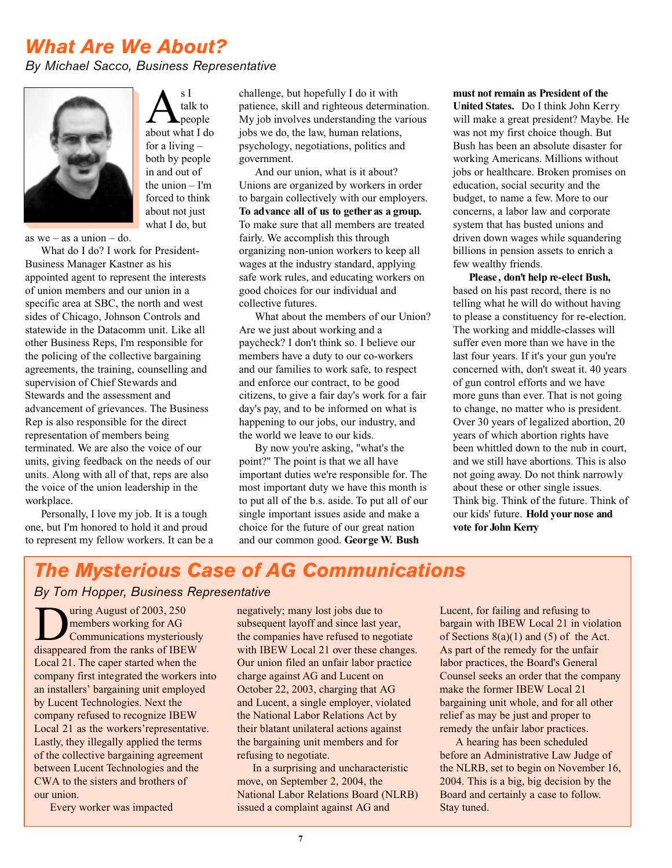### *What Are We About?*

*By Michael Sacco, Business Representative*



 $\sum_{\substack{\text{talk to} \text{above} \text{about what I do}}}^{\text{s I}}$ s I talk to people for a living  $$ both by people in and out of the union – I'm forced to think about not just what I do, but

as we – as a union – do.

What do I do? I work for President-Business Manager Kastner as his appointed agent to represent the interests of union members and our union in a specific area at SBC, the north and west sides of Chicago, Johnson Controls and statewide in the Datacomm unit. Like all other Business Reps, I'm responsible for the policing of the collective bargaining agreements, the training, counselling and supervision of Chief Stewards and Stewards and the assessment and advancement of grievances. The Business Rep is also responsible for the direct representation of members being terminated. We are also the voice of our units, giving feedback on the needs of our units. Along with all of that, reps are also the voice of the union leadership in the workplace.

Personally, I love my job. It is a tough one, but I'm honored to hold it and proud to represent my fellow workers. It can be a

challenge, but hopefully I do it with patience, skill and righteous determination. My job involves understanding the various jobs we do, the law, human relations, psychology, negotiations, politics and government.

And our union, what is it about? Unions are organized by workers in order to bargain collectively with our employers. **To advance all of us to gether as a group.** To make sure that all members are treated fairly. We accomplish this through organizing non-union workers to keep all wages at the industry standard, applying safe work rules, and educating workers on good choices for our individual and collective futures.

What about the members of our Union? Are we just about working and a paycheck? I don't think so. I believe our members have a duty to our co-workers and our families to work safe, to respect and enforce our contract, to be good citizens, to give a fair day's work for a fair day's pay, and to be informed on what is happening to our jobs, our industry, and the world we leave to our kids.

By now you're asking, "what's the point?" The point is that we all have important duties we're responsible for. The most important duty we have this month is to put all of the b.s. aside. To put all of our single important issues aside and make a choice for the future of our great nation and our common good. George W. Bush

**must not remain as President of the United States.** Do I think John Kerry will make a great president? Maybe. He was not my first choice though. But Bush has been an absolute disaster for working Americans. Millions without jobs or healthcare. Broken promises on education, social security and the budget, to name a few. More to our concerns, a labor law and corporate system that has busted unions and driven down wages while squandering billions in pension assets to enrich a few wealthy friends.

**Please , don't help re-elect Bush,** based on his past record, there is no telling what he will do without having to please a constituency for re-election. The working and middle-classes will suffer even more than we have in the last four years. If it's your gun you're concerned with, don't sweat it. 40 years of gun control efforts and we have more guns than ever. That is not going to change, no matter who is president. Over 30 years of legalized abortion, 20 years of which abortion rights have been whittled down to the nub in court, and we still have abortions. This is also not going away. Do not think narrowly about these or other single issues. Think big. Think of the future. Think of our kids' future. **Hold your nose and vote for John Kerry**

### *The Mysterious Case of AG Communications By Tom Hopper, Business Representative*

**DESERVIER SHEEP SET ASSESS**<br>Communications mysteriously<br>disappeared from the ranks of IBEW uring August of 2003, 250 members working for AG Communications mysteriously Local 21. The caper started when the company first integrated the workers into an installers' bargaining unit employed by Lucent Technologies. Next the company refused to recognize IBEW Local 21 as the workers'representative. Lastly, they illegally applied the terms of the collective bargaining agreement between Lucent Technologies and the CWA to the sisters and brothers of our union.

Every worker was impacted

negatively; many lost jobs due to subsequent layoff and since last year, the companies have refused to negotiate with IBEW Local 21 over these changes. Our union filed an unfair labor practice charge against AG and Lucent on October 22, 2003, charging that AG and Lucent, a single employer, violated the National Labor Relations Act by their blatant unilateral actions against the bargaining unit members and for refusing to negotiate.

In a surprising and uncharacteristic move, on September 2, 2004, the National Labor Relations Board (NLRB) issued a complaint against AG and

Lucent, for failing and refusing to bargain with IBEW Local 21 in violation of Sections  $8(a)(1)$  and  $(5)$  of the Act. As part of the remedy for the unfair labor practices, the Board's General Counsel seeks an order that the company make the former IBEW Local 21 bargaining unit whole, and for all other relief as may be just and proper to remedy the unfair labor practices.

A hearing has been scheduled before an Administrative Law Judge of the NLRB, set to begin on November 16, 2004. This is a big, big decision by the Board and certainly a case to follow. Stay tuned.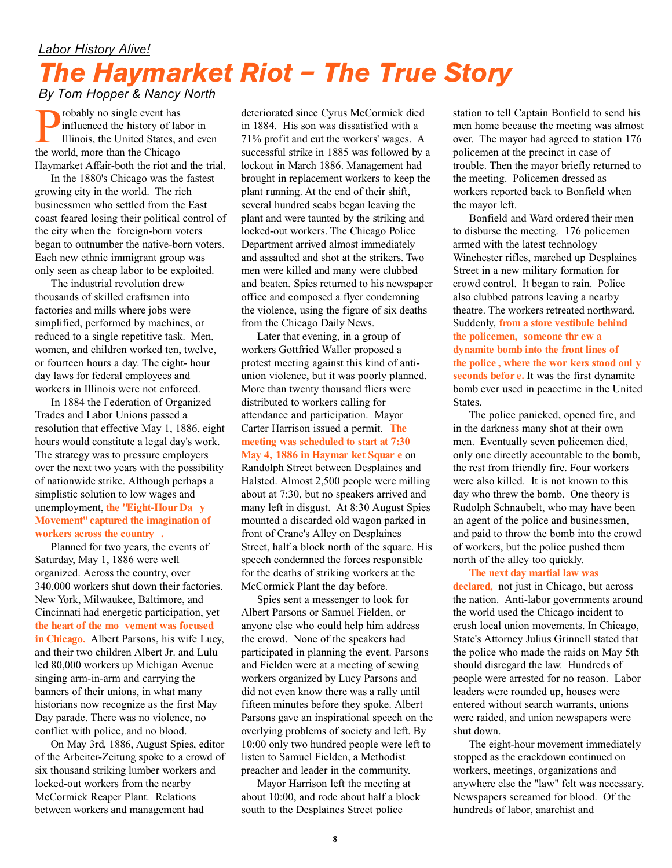### *The Haymarket Riot – The True Story By Tom Hopper & Nancy North*

**P** robably no single event has<br>influenced the history of la<br>Illinois, the United States, a<br>the world, more than the Chicago robably no single event has influenced the history of labor in Illinois, the United States, and even Haymarket Affair-both the riot and the trial.

In the 1880's Chicago was the fastest growing city in the world. The rich businessmen who settled from the East coast feared losing their political control of the city when the foreign-born voters began to outnumber the native-born voters. Each new ethnic immigrant group was only seen as cheap labor to be exploited.

The industrial revolution drew thousands of skilled craftsmen into factories and mills where jobs were simplified, performed by machines, or reduced to a single repetitive task. Men, women, and children worked ten, twelve, or fourteen hours a day. The eight- hour day laws for federal employees and workers in Illinois were not enforced.

In 1884 the Federation of Organized Trades and Labor Unions passed a resolution that effective May 1, 1886, eight hours would constitute a legal day's work. The strategy was to pressure employers over the next two years with the possibility of nationwide strike. Although perhaps a simplistic solution to low wages and unemployment, **the "Eight-Hour Da y Movement" captured the imagination of workers across the country .**

Planned for two years, the events of Saturday, May 1, 1886 were well organized. Across the country, over 340,000 workers shut down their factories. New York, Milwaukee, Baltimore, and Cincinnati had energetic participation, yet **the heart of the mo vement was focused in Chicago.** Albert Parsons, his wife Lucy, and their two children Albert Jr. and Lulu led 80,000 workers up Michigan Avenue singing arm-in-arm and carrying the banners of their unions, in what many historians now recognize as the first May Day parade. There was no violence, no conflict with police, and no blood.

On May 3rd, 1886, August Spies, editor of the Arbeiter-Zeitung spoke to a crowd of six thousand striking lumber workers and locked-out workers from the nearby McCormick Reaper Plant. Relations between workers and management had

deteriorated since Cyrus McCormick died in 1884. His son was dissatisfied with a 71% profit and cut the workers' wages. A successful strike in 1885 was followed by a lockout in March 1886. Management had brought in replacement workers to keep the plant running. At the end of their shift, several hundred scabs began leaving the plant and were taunted by the striking and locked-out workers. The Chicago Police Department arrived almost immediately and assaulted and shot at the strikers. Two men were killed and many were clubbed and beaten. Spies returned to his newspaper o ffice and composed a flyer condemning the violence, using the figure of six deaths from the Chicago Daily News.

Later that evening, in a group of workers Gottfried Waller proposed a protest meeting against this kind of antiunion violence, but it was poorly planned. More than twenty thousand fliers were distributed to workers calling for attendance and participation. Mayor Carter Harrison issued a permit. **The meeting was scheduled to start at 7:30 May 4, 1886 in Haymar ket Squar e** on Randolph Street between Desplaines and Halsted. Almost 2,500 people were milling about at 7:30, but no speakers arrived and many left in disgust. At 8:30 August Spies mounted a discarded old wagon parked in front of Crane's Alley on Desplaines Street, half a block north of the square. His speech condemned the forces responsible for the deaths of striking workers at the McCormick Plant the day before.

Spies sent a messenger to look for Albert Parsons or Samuel Fielden, or anyone else who could help him address the crowd. None of the speakers had participated in planning the event. Parsons and Fielden were at a meeting of sewing workers organized by Lucy Parsons and did not even know there was a rally until fifteen minutes before they spoke. Albert Parsons gave an inspirational speech on the overlying problems of society and left. By 10:00 only two hundred people were left to listen to Samuel Fielden, a Methodist preacher and leader in the community.

Mayor Harrison left the meeting at about 10:00, and rode about half a block south to the Desplaines Street police

station to tell Captain Bonfield to send his men home because the meeting was almost over. The mayor had agreed to station 176 policemen at the precinct in case of trouble. Then the mayor briefly returned to the meeting. Policemen dressed as workers reported back to Bonfield when the mayor left.

Bonfield and Ward ordered their men to disburse the meeting. 176 policemen armed with the latest technology Winchester rifles, marched up Desplaines Street in a new military formation for crowd control. It began to rain. Police also clubbed patrons leaving a nearby theatre. The workers retreated northward. Suddenly, **from a store vestibule behind the policemen, someone thr ew a dynamite bomb into the front lines of the police , where the wor kers stood onl y seconds befor e.** It was the first dynamite bomb ever used in peacetime in the United States.

The police panicked, opened fire, and in the darkness many shot at their own men. Eventually seven policemen died, only one directly accountable to the bomb, the rest from friendly fire. Four workers were also killed. It is not known to this day who threw the bomb. One theory is Rudolph Schnaubelt, who may have been an agent of the police and businessmen, and paid to throw the bomb into the crowd of workers, but the police pushed them north of the alley too quickly.

**The next day martial law was declared,** not just in Chicago, but across the nation. Anti-labor governments around the world used the Chicago incident to crush local union movements. In Chicago, State's Attorney Julius Grinnell stated that the police who made the raids on May 5th should disregard the law. Hundreds of people were arrested for no reason. Labor leaders were rounded up, houses were entered without search warrants, unions were raided, and union newspapers were shut down.

The eight-hour movement immediately stopped as the crackdown continued on workers, meetings, organizations and anywhere else the "law" felt was necessary. Newspapers screamed for blood. Of the hundreds of labor, anarchist and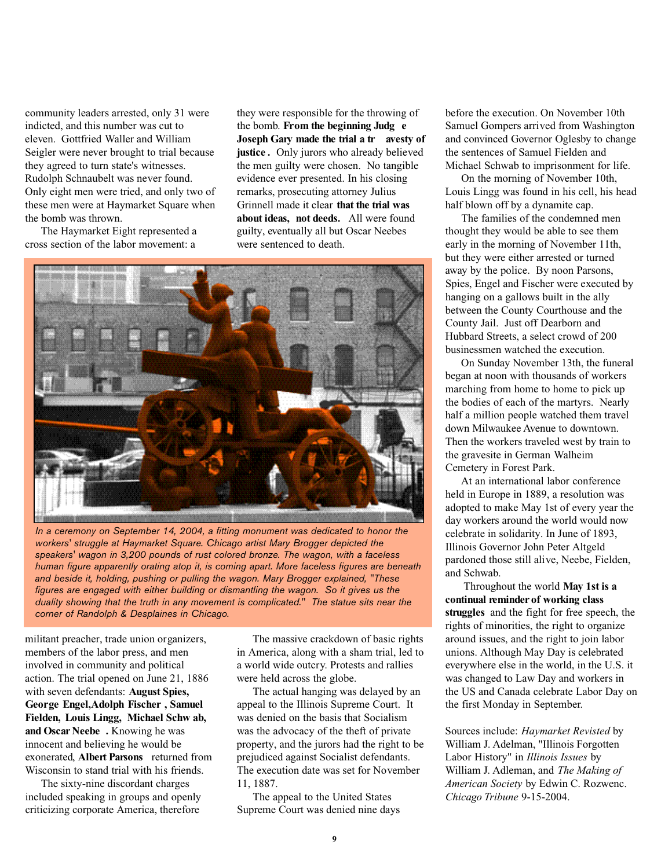community leaders arrested, only 31 were indicted, and this number was cut to eleven. Gottfried Waller and William Seigler were never brought to trial because they agreed to turn state's witnesses. Rudolph Schnaubelt was never found. Only eight men were tried, and only two of these men were at Haymarket Square when the bomb was thrown.

The Haymarket Eight represented a cross section of the labor movement: a

they were responsible for the throwing of the bomb. **Fr om the beginning Judg e Joseph Gary made the trial a tr avesty of justice .** Only jurors who already believed the men guilty were chosen. No tangible evidence ever presented. In his closing remarks, prosecuting attorney Julius Grinnell made it clear **that the trial was about ideas, not deeds.** All were found guilty, eventually all but Oscar Neebes were sentenced to death.



*In a ceremony on September 14, 2004, a fitting monument was dedicated to honor the workers' struggle at Haymarket Square. Chicago artist Mary Brogger depicted the speakers' wagon in 3,200 pounds of rust colored bronze. The wagon, with a faceless human figure apparently orating atop it, is coming apart. More faceless figures are beneath and beside it, holding, pushing or pulling the wagon. Mary Brogger explained, "These figures are engaged with either building or dismantling the wagon. So it gives us the duality showing that the truth in any movement is complicated." The statue sits near the corner of Randolph & Desplaines in Chicago.*

militant preacher, trade union organizers, members of the labor press, and men involved in community and political action. The trial opened on June 21, 1886 with seven defendants: **August Spies, Geor ge Engel,Adolph Fischer , Samuel Fielden, Louis Lingg, Michael Schw ab, and Oscar Neebe .** Knowing he was innocent and believing he would be exonerated, **Albert Parsons** returned from Wisconsin to stand trial with his friends.

The sixty-nine discordant charges included speaking in groups and openly criticizing corporate America, therefore

The massive crackdown of basic rights in America, along with a sham trial, led to a world wide outcry. Protests and rallies were held across the globe.

The actual hanging was delayed by an appeal to the Illinois Supreme Court. It was denied on the basis that Socialism was the advocacy of the theft of private property, and the jurors had the right to be prejudiced against Socialist defendants. The execution date was set for November 11, 1887.

The appeal to the United States Supreme Court was denied nine days before the execution. On November 10th Samuel Gompers arrived from Washington and convinced Governor Oglesby to change the sentences of Samuel Fielden and Michael Schwab to imprisonment for life.

On the morning of November 10th, Louis Lingg was found in his cell, his head half blown off by a dynamite cap.

The families of the condemned men thought they would be able to see them early in the morning of November 11th, but they were either arrested or turned away by the police. By noon Parsons, Spies, Engel and Fischer were executed by hanging on a gallows built in the ally between the County Courthouse and the County Jail. Just off Dearborn and Hubbard Streets, a select crowd of 200 businessmen watched the execution.

On Sunday November 13th, the funeral began at noon with thousands of workers marching from home to home to pick up the bodies of each of the martyrs. Nearly half a million people watched them travel down Milwaukee Avenue to downtown. Then the workers traveled west by train to the gravesite in German Walheim Cemetery in Forest Park.

At an international labor conference held in Europe in 1889, a resolution was adopted to make May 1st of every year the day workers around the world would now celebrate in solidarity. In June of 1893, Illinois Governor John Peter Altgeld pardoned those still alive, Neebe, Fielden, and Schwab.

Throughout the world **May 1st is a continual reminder of working class struggles** and the fight for free speech, the rights of minorities, the right to organize around issues, and the right to join labor unions. Although May Day is celebrated everywhere else in the world, in the U.S. it was changed to Law Day and workers in the US and Canada celebrate Labor Day on the first Monday in September.

Sources include: *Haymarket Revisted* by William J. Adelman, "Illinois Forgotten Labor History" in *Illinois Issues* by William J. Adleman, and *The Making of American Society* by Edwin C. Rozwenc. *Chicago Tribune* 9-15-2004.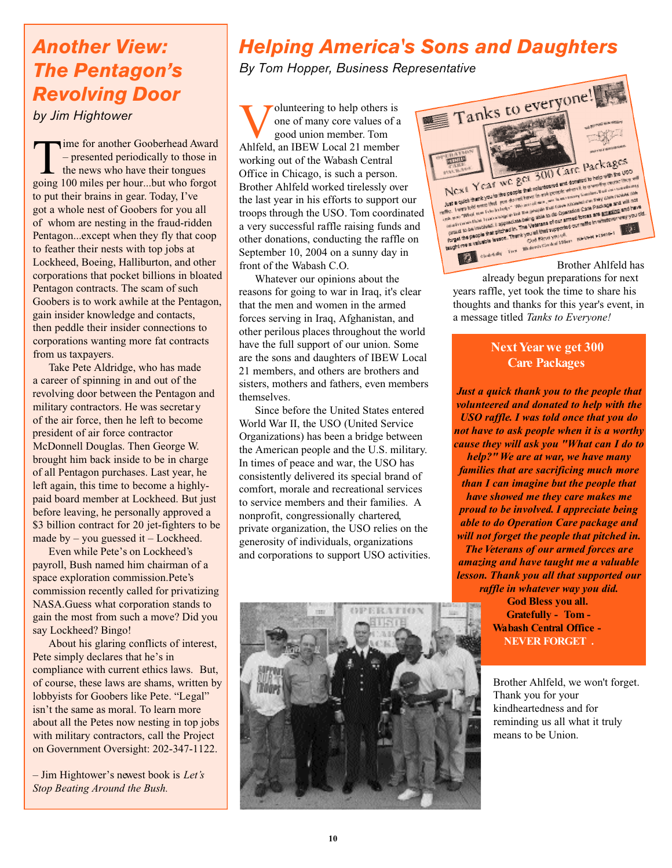## *Helping America's Sons and Daughters*

*By Tom Hopper, Business Representative*

Volunteering to help others is<br>
one of many core values of a<br>
good union member. Tom<br>
Ahlfeld, an IBEW Local 21 member olunteering to help others is one of many core values of a good union member. Tom working out of the Wabash Central Office in Chicago, is such a person. Brother Ahlfeld worked tirelessly over the last year in his efforts to support our troops through the USO. Tom coordinated a very successful raffle raising funds and other donations, conducting the raffle on September 10, 2004 on a sunny day in front of the Wabash C.O.

Whatever our opinions about the reasons for going to war in Iraq, it's clear that the men and women in the armed forces serving in Iraq, Afghanistan, and other perilous places throughout the world have the full support of our union. Some are the sons and daughters of IBEW Local 21 members, and others are brothers and sisters, mothers and fathers, even members themselves.

Since before the United States entered World War II, the USO (United Service Organizations) has been a bridge between the American people and the U.S. military. In times of peace and war, the USO has consistently delivered its special brand of comfort, morale and recreational services to service members and their families. A nonprofit, congressionally chartered, private organization, the USO relies on the generosity of individuals, organizations and corporations to support USO activities.





already begun preparations for next years raffle, yet took the time to share his thoughts and thanks for this year's event, in a message titled *Tanks to Everyone!*

#### **Next Year we get 300 Care Packages**

*Just a quick thank you to the people that volunteered and donated to help with the USO raffle. I was told once that you do not have to ask people when it is a worthy cause they will ask you "What can I do to help?" We are at war, we have many families that are sacrificing much more than I can imagine but the people that have showed me they care makes me proud to be involved. I appreciate being able to do Operation Care package and will not forget the people that pitched in. The Veterans of our armed forces are amazing and have taught me a valuable lesson. Thank you all that supported our raffle in whatever way you did.*

**God Bless you all. Gratefully - Tom - Wabash Central Office - NEVER FORGET .**

Brother Ahlfeld, we won't forget. Thank you for your kindheartedness and for reminding us all what it truly means to be Union.

### *Another View: The Pentagon's Revolving Door by Jim Hightower*

The formather Gooberhead Award – presented periodically to those in<br>the news who have their tongues<br>going 100 miles per hour...but who forgot ime for another Gooberhead Award – presented periodically to those in  $\mathsf{\mathsf{L}}$  the news who have their tongues to put their brains in gear. Today, I've got a whole nest of Goobers for you all of whom are nesting in the fraud-ridden Pentagon...except when they fly that coop to feather their nests with top jobs at Lockheed, Boeing, Halliburton, and other corporations that pocket billions in bloated Pentagon contracts. The scam of such Goobers is to work awhile at the Pentagon, gain insider knowledge and contacts, then peddle their insider connections to corporations wanting more fat contracts from us taxpayers.

Take Pete Aldridge, who has made a career of spinning in and out of the revolving door between the Pentagon and military contractors. He was secretary of the air force, then he left to become president of air force contractor McDonnell Douglas. Then George W. brought him back inside to be in charge of all Pentagon purchases. Last year, he left again, this time to become a highlypaid board member at Lockheed. But just before leaving, he personally approved a \$3 billion contract for 20 jet-fighters to be made by – you guessed it – Lockheed.

Even while Pete's on Lockheed's payroll, Bush named him chairman of a space exploration commission.Pete's commission recently called for privatizing NASA.Guess what corporation stands to gain the most from such a move? Did you say Lockheed? Bingo!

About his glaring conflicts of interest, Pete simply declares that he's in compliance with current ethics laws. But, of course, these laws are shams, written by lobbyists for Goobers like Pete. "Legal" isn't the same as moral. To learn more about all the Petes now nesting in top jobs with military contractors, call the Project on Government Oversight: 202-347-1122.

– Jim Hightower's newest book is *Let's Stop Beating Around the Bush.*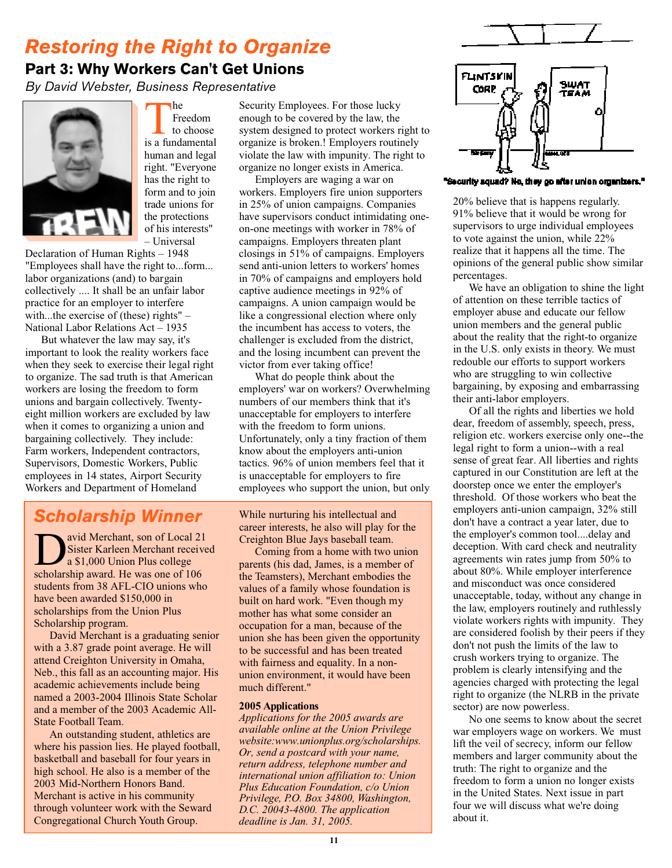# *Restoring the Right to Organize*

### **Part 3: Why Workers Can't Get Unions**

*By David Webster, Business Representative*



The Freedom<br>to choose<br>is a fundamental lhe Freedom to choose human and legal right. "Everyone has the right to form and to join trade unions for the protections of his interests" – Universal

Declaration of Human Rights – 1948 "Employees shall have the right to...form... labor organizations (and) to bargain collectively .... It shall be an unfair labor practice for an employer to interfere with...the exercise of (these) rights" – National Labor Relations Act – 1935

But whatever the law may say, it's important to look the reality workers face when they seek to exercise their legal right to organize. The sad truth is that American workers are losing the freedom to form unions and bargain collectively. Twentyeight million workers are excluded by law when it comes to organizing a union and bargaining collectively. They include: Farm workers, Independent contractors, Supervisors, Domestic Workers, Public employees in 14 states, Airport Security Workers and Department of Homeland

### *Scholarship Winner*

**D**<br>Sister Karleen Merchant received a \$1,000 Union Plus college<br>scholarship award. He was one of 106 avid Merchant, son of Local 21 Sister Karleen Merchant received a \$1,000 Union Plus college students from 38 AFL-CIO unions who have been awarded \$150,000 in scholarships from the Union Plus Scholarship program.

David Merchant is a graduating senior with a 3.87 grade point average. He will attend Creighton University in Omaha, Neb., this fall as an accounting major. His academic achievements include being named a 2003-2004 Illinois State Scholar and a member of the 2003 Academic All-State Football Team.

An outstanding student, athletics are where his passion lies. He played football, basketball and baseball for four years in high school. He also is a member of the 2003 Mid-Northern Honors Band. Merchant is active in his community through volunteer work with the Seward Congregational Church Youth Group.

Security Employees. For those lucky enough to be covered by the law, the system designed to protect workers right to organize is broken.! Employers routinely violate the law with impunity. The right to organize no longer exists in America.

Employers are waging a war on workers. Employers fire union supporters in 25% of union campaigns. Companies have supervisors conduct intimidating oneon-one meetings with worker in 78% of campaigns. Employers threaten plant closings in 51% of campaigns. Employers send anti-union letters to workers' homes in 70% of campaigns and employers hold captive audience meetings in 92% of campaigns. A union campaign would be like a congressional election where only the incumbent has access to voters, the challenger is excluded from the district, and the losing incumbent can prevent the victor from ever taking office!

What do people think about the employers' war on workers? Overwhelming numbers of our members think that it's unacceptable for employers to interfere with the freedom to form unions. Unfortunately, only a tiny fraction of them know about the employers anti-union tactics. 96% of union members feel that it is unacceptable for employers to fire employees who support the union, but only

While nurturing his intellectual and career interests, he also will play for the Creighton Blue Jays baseball team.

Coming from a home with two union parents (his dad, James, is a member of the Teamsters), Merchant embodies the values of a family whose foundation is built on hard work. "Even though my mother has what some consider an occupation for a man, because of the union she has been given the opportunity to be successful and has been treated with fairness and equality. In a nonunion environment, it would have been much different."

#### **2005 Applications**

*Applications for the 2005 awards are available online at the Union Privilege website:www.unionplus.org/scholarships. Or, send a postcard with your name, return address, telephone number and international union affiliation to: Union Plus Education Foundation, c/o Union Privilege, P.O. Box 34800, Washington, D.C. 20043-4800. The application deadline is Jan. 31, 2005.* 



"Security squad? No, they go after union organizers."

20% believe that is happens regularly. 91% believe that it would be wrong for supervisors to urge individual employees to vote against the union, while 22% realize that it happens all the time. The opinions of the general public show similar percentages.

We have an obligation to shine the light of attention on these terrible tactics of employer abuse and educate our fellow union members and the general public about the reality that the right-to organize in the U.S. only exists in theory. We must redouble our efforts to support workers who are struggling to win collective bargaining, by exposing and embarrassing their anti-labor employers.

Of all the rights and liberties we hold dear, freedom of assembly, speech, press, religion etc. workers exercise only one--the legal right to form a union--with a real sense of great fear. All liberties and rights captured in our Constitution are left at the doorstep once we enter the employer's threshold. Of those workers who beat the employers anti-union campaign, 32% still don't have a contract a year later, due to the employer's common tool....delay and deception. With card check and neutrality agreements win rates jump from 50% to about 80%. While employer interference and misconduct was once considered unacceptable, today, without any change in the law, employers routinely and ruthlessly violate workers rights with impunity. They are considered foolish by their peers if they don't not push the limits of the law to crush workers trying to organize. The problem is clearly intensifying and the agencies charged with protecting the legal right to organize (the NLRB in the private sector) are now powerless.

No one seems to know about the secret war employers wage on workers. We must lift the veil of secrecy, inform our fellow members and larger community about the truth: The right to organize and the freedom to form a union no longer exists in the United States. Next issue in part four we will discuss what we're doing about it.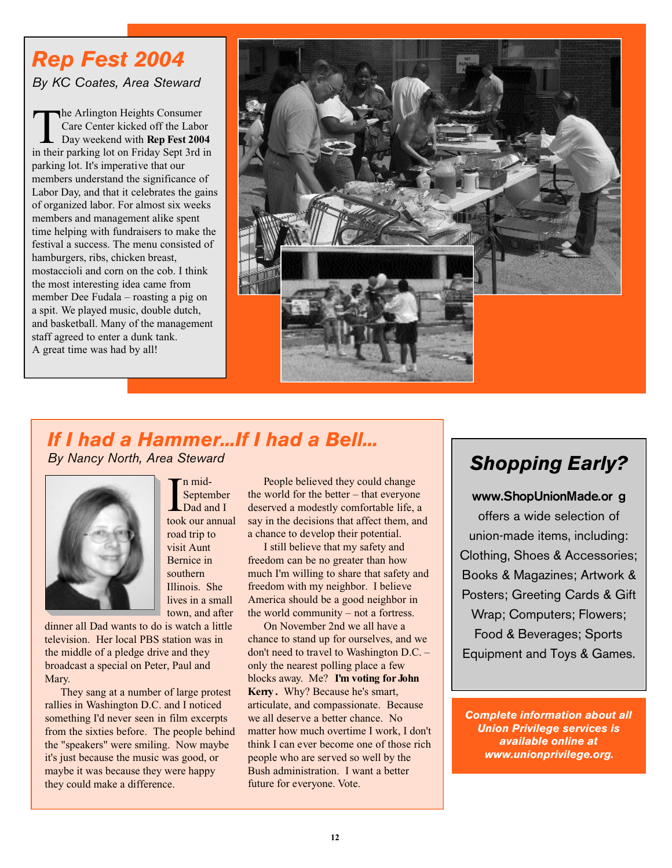## *Rep Fest 2004*

*By KC Coates, Area Steward*

The Arlington Heights Consumer<br>Care Center kicked off the Labor<br>Day weekend with **Rep Fest 2004**<br>in their parking lot on Friday Sept 3rd in he Arlington Heights Consumer Care Center kicked off the Labor Day weekend with **Rep Fest 2004** parking lot. It's imperative that our members understand the significance of Labor Day, and that it celebrates the gains of organized labor. For almost six weeks members and management alike spent time helping with fundraisers to make the festival a success. The menu consisted of hamburgers, ribs, chicken breast, mostaccioli and corn on the cob. I think the most interesting idea came from member Dee Fudala – roasting a pig on a spit. We played music, double dutch, and basketball. Many of the management staff agreed to enter a dunk tank. A great time was had by all!



#### *If I had a Hammer...If I had a Bell... By Nancy North, Area Steward*



In mid-<br>September<br>Dad and I<br>took our annual September Dad and I road trip to visit Aunt Bernice in southern Illinois. She lives in a small town, and after

n mid-

dinner all Dad wants to do is watch a little television. Her local PBS station was in the middle of a pledge drive and they broadcast a special on Peter, Paul and Mary.

They sang at a number of large protest rallies in Washington D.C. and I noticed something I'd never seen in film excerpts from the sixties before. The people behind the "speakers" were smiling. Now maybe it's just because the music was good, or maybe it was because they were happy they could make a difference.

People believed they could change the world for the better – that everyone deserved a modestly comfortable life, a say in the decisions that affect them, and a chance to develop their potential.

I still believe that my safety and freedom can be no greater than how much I'm willing to share that safety and freedom with my neighbor. I believe America should be a good neighbor in the world community – not a fortress.

On November 2nd we all have a chance to stand up for ourselves, and we don't need to travel to Washington D.C. – only the nearest polling place a few blocks away. Me? **I'm voting for John Kerry .** Why? Because he's smart, articulate, and compassionate. Because we all deserve a better chance. No matter how much overtime I work, I don't think I can ever become one of those rich people who are served so well by the Bush administration. I want a better future for everyone. Vote.

# *Shopping Early?*

**www.ShopUnionMade.or g** offers a wide selection of union-made items, including: Clothing, Shoes & Accessories; Books & Magazines; Artwork & Posters; Greeting Cards & Gift Wrap; Computers; Flowers; Food & Beverages; Sports Equipment and Toys & Games.

*Complete information about all Union Privilege services is available online at www.unionprivilege.org.*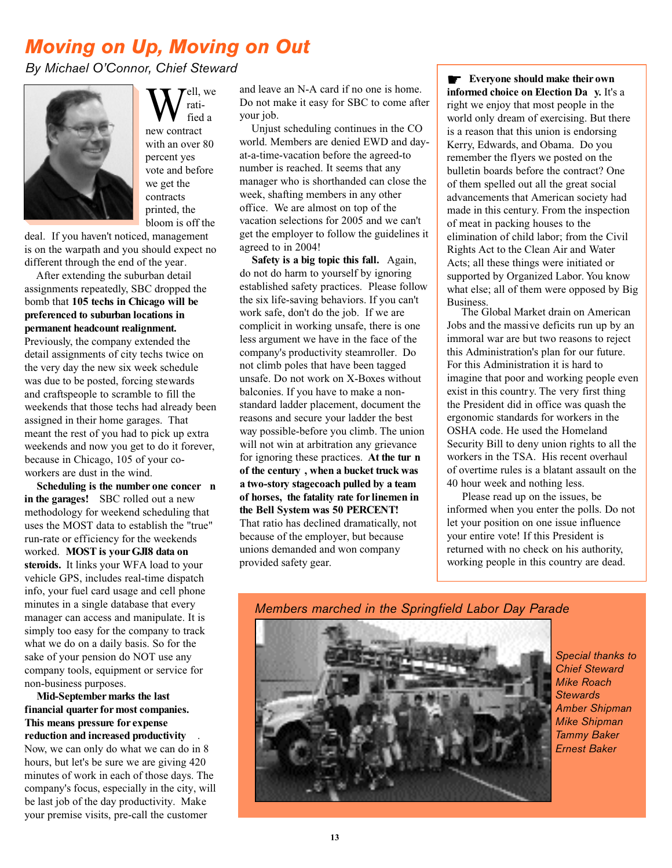### *Moving on Up, Moving on Out*

*By Michael O'Connor, Chief Steward*



W<sup>ell,</sup><br>new contract ell, we ratified a with an over 80 percent yes vote and before we get the contracts printed, the bloom is off the

deal. If you haven't noticed, management is on the warpath and you should expect no different through the end of the year.

After extending the suburban detail assignments repeatedly, SBC dropped the bomb that **105 techs in Chicago will be preferenced to suburban locations in permanent headcount realignment.** Previously, the company extended the detail assignments of city techs twice on the very day the new six week schedule was due to be posted, forcing stewards and craftspeople to scramble to fill the weekends that those techs had already been assigned in their home garages. That meant the rest of you had to pick up extra weekends and now you get to do it forever, because in Chicago, 105 of your coworkers are dust in the wind.

**Scheduling is the number one concer n in the garages!** SBC rolled out a new methodology for weekend scheduling that uses the MOST data to establish the "true" run-rate or efficiency for the weekends worked. **MOST is your GJI8 data on steroids.** It links your WFA load to your vehicle GPS, includes real-time dispatch info, your fuel card usage and cell phone minutes in a single database that every manager can access and manipulate. It is simply too easy for the company to track what we do on a daily basis. So for the sake of your pension do NOT use any company tools, equipment or service for non-business purposes.

**Mid-September marks the last financial quarter for most companies. This means pressure for expense reduction and increased productivity** . Now, we can only do what we can do in 8 hours, but let's be sure we are giving 420 minutes of work in each of those days. The company's focus, especially in the city, will be last job of the day productivity. Make your premise visits, pre-call the customer

and leave an N-A card if no one is home. Do not make it easy for SBC to come after your job.

Unjust scheduling continues in the CO world. Members are denied EWD and dayat-a-time-vacation before the agreed-to number is reached. It seems that any manager who is shorthanded can close the week, shafting members in any other office. We are almost on top of the vacation selections for 2005 and we can't get the employer to follow the guidelines it agreed to in 2004!

**Safety is a big topic this fall.** Again, do not do harm to yourself by ignoring established safety practices. Please follow the six life-saving behaviors. If you can't work safe, don't do the job. If we are complicit in working unsafe, there is one less argument we have in the face of the company's productivity steamroller. Do not climb poles that have been tagged unsafe. Do not work on X-Boxes without balconies. If you have to make a nonstandard ladder placement, document the reasons and secure your ladder the best way possible-before you climb. The union will not win at arbitration any grievance for ignoring these practices. **At the tur n of the century , when a bucket truck was a two-story stagecoach pulled by a team of horses, the fatality rate for linemen in the Bell System was 50 PERCENT!** That ratio has declined dramatically, not because of the employer, but because unions demanded and won company provided safety gear.

☛ **Everyone should make their own informed choice on Election Da y.** It's a right we enjoy that most people in the world only dream of exercising. But there is a reason that this union is endorsing Kerry, Edwards, and Obama. Do you remember the flyers we posted on the bulletin boards before the contract? One of them spelled out all the great social advancements that American society had made in this century. From the inspection of meat in packing houses to the elimination of child labor; from the Civil Rights Act to the Clean Air and Water Acts; all these things were initiated or supported by Organized Labor. You know what else; all of them were opposed by Big Business.

The Global Market drain on American Jobs and the massive deficits run up by an immoral war are but two reasons to reject this Administration's plan for our future. For this Administration it is hard to imagine that poor and working people even exist in this country. The very first thing the President did in office was quash the ergonomic standards for workers in the OSHA code. He used the Homeland Security Bill to deny union rights to all the workers in the TSA. His recent overhaul of overtime rules is a blatant assault on the 40 hour week and nothing less.

Please read up on the issues, be informed when you enter the polls. Do not let your position on one issue influence your entire vote! If this President is returned with no check on his authority, working people in this country are dead.



*Members marched in the Springfield Labor Day Parade*

*Special thanks to Chief Steward Mike Roach Stewards Amber Shipman Mike Shipman Tammy Baker Ernest Baker*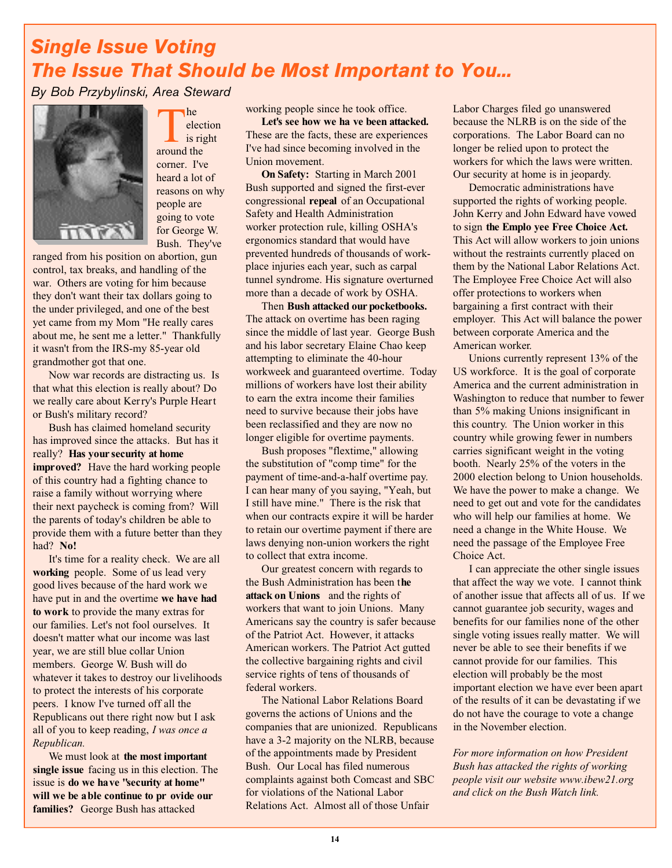# *Single Issue Voting The Issue That Should be Most Important to You...*

#### *By Bob Przybylinski, Area Steward*



The<br>
is ri<br>
around the he election is right corner. I've heard a lot of reasons on why people are going to vote for George W. Bush. They've

ranged from his position on abortion, gun control, tax breaks, and handling of the war. Others are voting for him because they don't want their tax dollars going to the under privileged, and one of the best yet came from my Mom "He really cares about me, he sent me a letter." Thankfully it wasn't from the IRS-my 85-year old grandmother got that one.

Now war records are distracting us. Is that what this election is really about? Do we really care about Kerry's Purple Heart or Bush's military record?

Bush has claimed homeland security has improved since the attacks. But has it really? **Has your security at home improved?** Have the hard working people of this country had a fighting chance to raise a family without worrying where their next paycheck is coming from? Will the parents of today's children be able to provide them with a future better than they had? **No!**

It's time for a reality check. We are all **working** people. Some of us lead very good lives because of the hard work we have put in and the overtime **we have had to work** to provide the many extras for our families. Let's not fool ourselves. It doesn't matter what our income was last year, we are still blue collar Union members. George W. Bush will do whatever it takes to destroy our livelihoods to protect the interests of his corporate peers. I know I've turned off all the Republicans out there right now but I ask all of you to keep reading, *I was once a Republican.*

We must look at **the most important single issue** facing us in this election. The issue is **do we ha ve "security at home" will we be a ble continue to pr ovide our families?** George Bush has attacked

working people since he took office.

**Let's see how we ha ve been attacked.** These are the facts, these are experiences I've had since becoming involved in the Union movement.

**On Safety:** Starting in March 2001 Bush supported and signed the first-ever congressional **repeal** of an Occupational Safety and Health Administration worker protection rule, killing OSHA's ergonomics standard that would have prevented hundreds of thousands of workplace injuries each year, such as carpal tunnel syndrome. His signature overturned more than a decade of work by OSHA.

Then **Bush attacked our pocketbooks.** The attack on overtime has been raging since the middle of last year. George Bush and his labor secretary Elaine Chao keep attempting to eliminate the 40-hour workweek and guaranteed overtime. Today millions of workers have lost their ability to earn the extra income their families need to survive because their jobs have been reclassified and they are now no longer eligible for overtime payments.

Bush proposes "flextime," allowing the substitution of "comp time" for the payment of time-and-a-half overtime pay. I can hear many of you saying, "Yeah, but I still have mine." There is the risk that when our contracts expire it will be harder to retain our overtime payment if there are laws denying non-union workers the right to collect that extra income.

Our greatest concern with regards to the Bush Administration has been t**he attack on Unions** and the rights of workers that want to join Unions. Many Americans say the country is safer because of the Patriot Act. However, it attacks American workers. The Patriot Act gutted the collective bargaining rights and civil service rights of tens of thousands of federal workers.

The National Labor Relations Board governs the actions of Unions and the companies that are unionized. Republicans have a 3-2 majority on the NLRB, because of the appointments made by President Bush. Our Local has filed numerous complaints against both Comcast and SBC for violations of the National Labor Relations Act. Almost all of those Unfair

Labor Charges filed go unanswered because the NLRB is on the side of the corporations. The Labor Board can no longer be relied upon to protect the workers for which the laws were written. Our security at home is in jeopardy.

Democratic administrations have supported the rights of working people. John Kerry and John Edward have vowed to sign **the Emplo yee Free Choice Act.** This Act will allow workers to join unions without the restraints currently placed on them by the National Labor Relations Act. The Employee Free Choice Act will also offer protections to workers when bargaining a first contract with their employer. This Act will balance the power between corporate America and the American worker.

Unions currently represent 13% of the US workforce. It is the goal of corporate America and the current administration in Washington to reduce that number to fewer than 5% making Unions insignificant in this country. The Union worker in this country while growing fewer in numbers carries significant weight in the voting booth. Nearly 25% of the voters in the 2000 election belong to Union households. We have the power to make a change. We need to get out and vote for the candidates who will help our families at home. We need a change in the White House. We need the passage of the Employee Free Choice Act.

I can appreciate the other single issues that affect the way we vote. I cannot think of another issue that affects all of us. If we cannot guarantee job security, wages and benefits for our families none of the other single voting issues really matter. We will never be able to see their benefits if we cannot provide for our families. This election will probably be the most important election we have ever been apart of the results of it can be devastating if we do not have the courage to vote a change in the November election.

*For more information on how President Bush has attacked the rights of working people visit our website www.ibew21.org and click on the Bush Watch link.*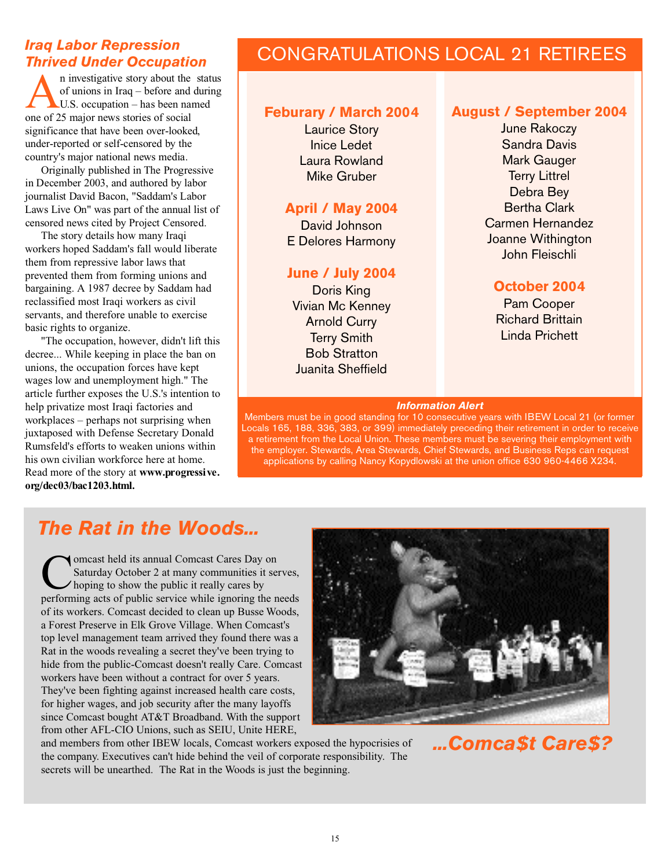# *Thrived Under Occupation*

n investigative story about the<br>of unions in Iraq – before and<br>one of 25 major news stories of social n investigative story about the status of unions in Iraq – before and during U.S. occupation – has been named significance that have been over-looked, under-reported or self-censored by the country's major national news media.

Originally published in The Progressive in December 2003, and authored by labor journalist David Bacon, "Saddam's Labor Laws Live On" was part of the annual list of censored news cited by Project Censored.

The story details how many Iraqi workers hoped Saddam's fall would liberate them from repressive labor laws that prevented them from forming unions and bargaining. A 1987 decree by Saddam had reclassified most Iraqi workers as civil servants, and therefore unable to exercise basic rights to organize.

"The occupation, however, didn't lift this decree... While keeping in place the ban on unions, the occupation forces have kept wages low and unemployment high." The article further exposes the U.S.'s intention to help privatize most Iraqi factories and workplaces – perhaps not surprising when juxtaposed with Defense Secretary Donald Rumsfeld's efforts to weaken unions within his own civilian workforce here at home. Read more of the story at **www.progressive. org/dec03/bac1203.html.**

# CONGRATULATIONS LOCAL 21 RETIREES *Iraq Labor Repression*

#### **Feburary / March 2004**

Laurice Story Inice Ledet Laura Rowland Mike Gruber

#### **April / May 2004**

David Johnson E Delores Harmony

#### **June / July 2004**

Doris King Vivian Mc Kenney Arnold Curry Terry Smith Bob Stratton Juanita Sheffield

#### **August / September 2004**

June Rakoczy Sandra Davis Mark Gauger **Terry Littrel** Debra Bey Bertha Clark Carmen Hernandez Joanne Withington John Fleischli

#### **October 2004**

Pam Cooper Richard Brittain Linda Prichett

#### *Information Alert*

Members must be in good standing for 10 consecutive years with IBEW Local 21 (or former Locals 165, 188, 336, 383, or 399) immediately preceding their retirement in order to receive a retirement from the Local Union. These members must be severing their employment with the employer. Stewards, Area Stewards, Chief Stewards, and Business Reps can request applications by calling Nancy Kopydlowski at the union office 630 960-4466 X234.

# *The Rat in the Woods...*

Comcast held its annual Comcast Cares Day on<br>Saturday October 2 at many communities it serves,<br>hoping to show the public it really cares by<br>performing acts of public service while ignoring the needs omcast held its annual Comcast Cares Day on Saturday October 2 at many communities it serves, hoping to show the public it really cares by of its workers. Comcast decided to clean up Busse Woods, a Forest Preserve in Elk Grove Village. When Comcast's top level management team arrived they found there was a Rat in the woods revealing a secret they've been trying to hide from the public-Comcast doesn't really Care. Comcast workers have been without a contract for over 5 years. They've been fighting against increased health care costs, for higher wages, and job security after the many layoffs since Comcast bought AT&T Broadband. With the support from other AFL-CIO Unions, such as SEIU, Unite HERE,



and members from other IBEW locals, Comcast workers exposed the hypocrisies of the company. Executives can't hide behind the veil of corporate responsibility. The secrets will be unearthed. The Rat in the Woods is just the beginning.

*...Comca\$t Care\$?*